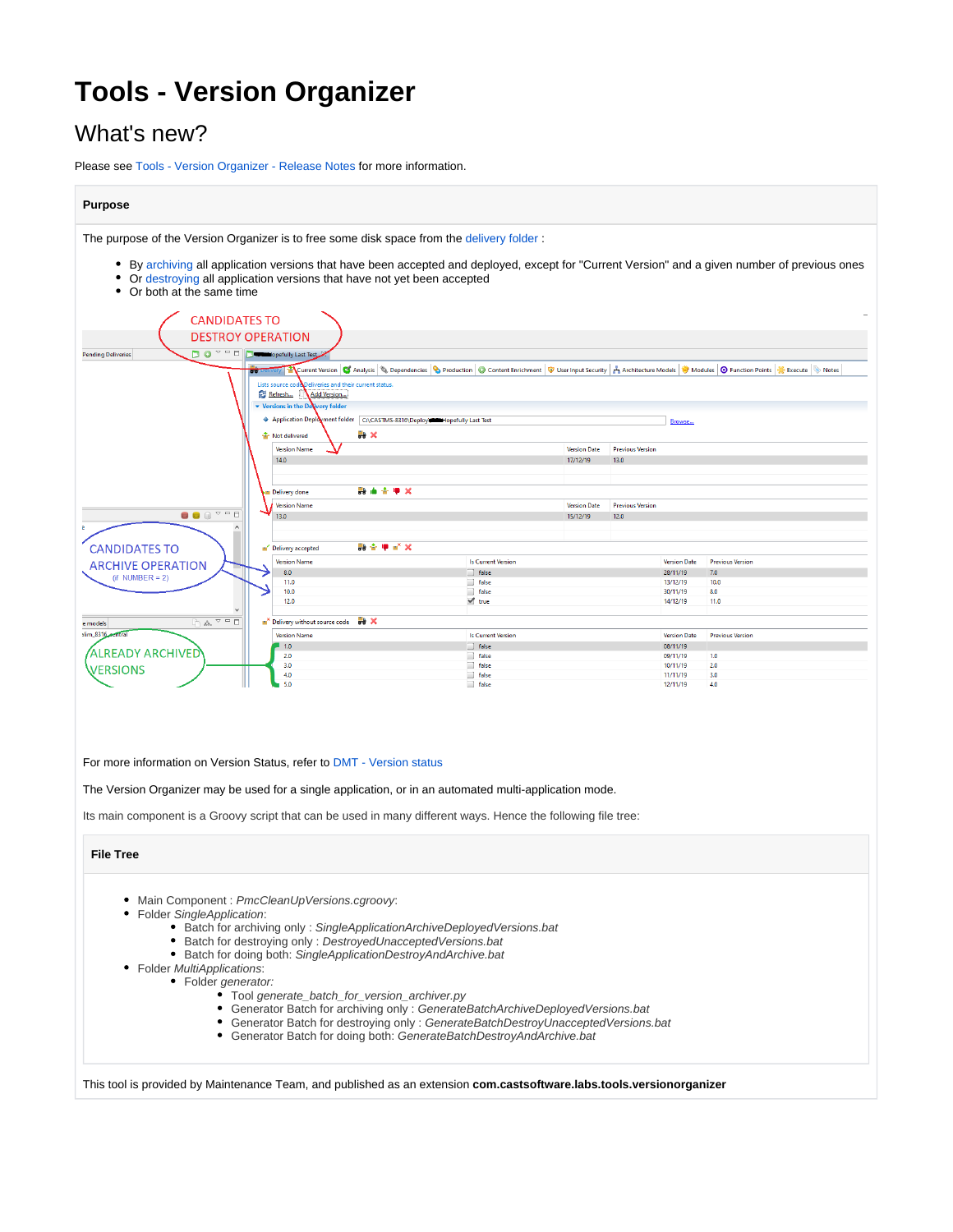# **Tools - Version Organizer**

# What's new?

Please see [Tools - Version Organizer - Release Notes](https://doc.castsoftware.com/display/TG/Tools+-+Version+Organizer+-+Release+Notes) for more information.

#### **Purpose**

The purpose of the Version Organizer is to free some disk space from the delivery folder:

- By [archiving](https://doc.castsoftware.com/pages/viewpage.action?pageId=264220620) all application versions that have been accepted and deployed, except for "Current Version" and a given number of previous ones
- Or [destroying](https://doc.castsoftware.com/pages/viewpage.action?pageId=264220620) all application versions that have not yet been accepted
- Or both at the same time



#### For more information on Version Status, refer to [DMT - Version status](https://doc.castsoftware.com/display/DOC83/DMT+-+Version+status)

The Version Organizer may be used for a single application, or in an automated multi-application mode.

Its main component is a Groovy script that can be used in many different ways. Hence the following file tree:

#### **File Tree**

- Main Component : PmcCleanUpVersions.cgroovy:
- Folder SingleApplication:
	- Batch for archiving only : SingleApplicationArchiveDeployedVersions.bat
	- $\bullet$ Batch for destroying only : DestroyedUnacceptedVersions.bat
	- Batch for doing both: SingleApplicationDestroyAndArchive.bat
- Folder MultiApplications:
	- Folder generator:
		- Tool generate\_batch\_for\_version\_archiver.py
		- Generator Batch for archiving only : GenerateBatchArchiveDeployedVersions.bat
		- Generator Batch for destroying only : GenerateBatchDestroyUnacceptedVersions.bat
		- Generator Batch for doing both: GenerateBatchDestroyAndArchive.bat

This tool is provided by Maintenance Team, and published as an extension **com.castsoftware.labs.tools.versionorganizer**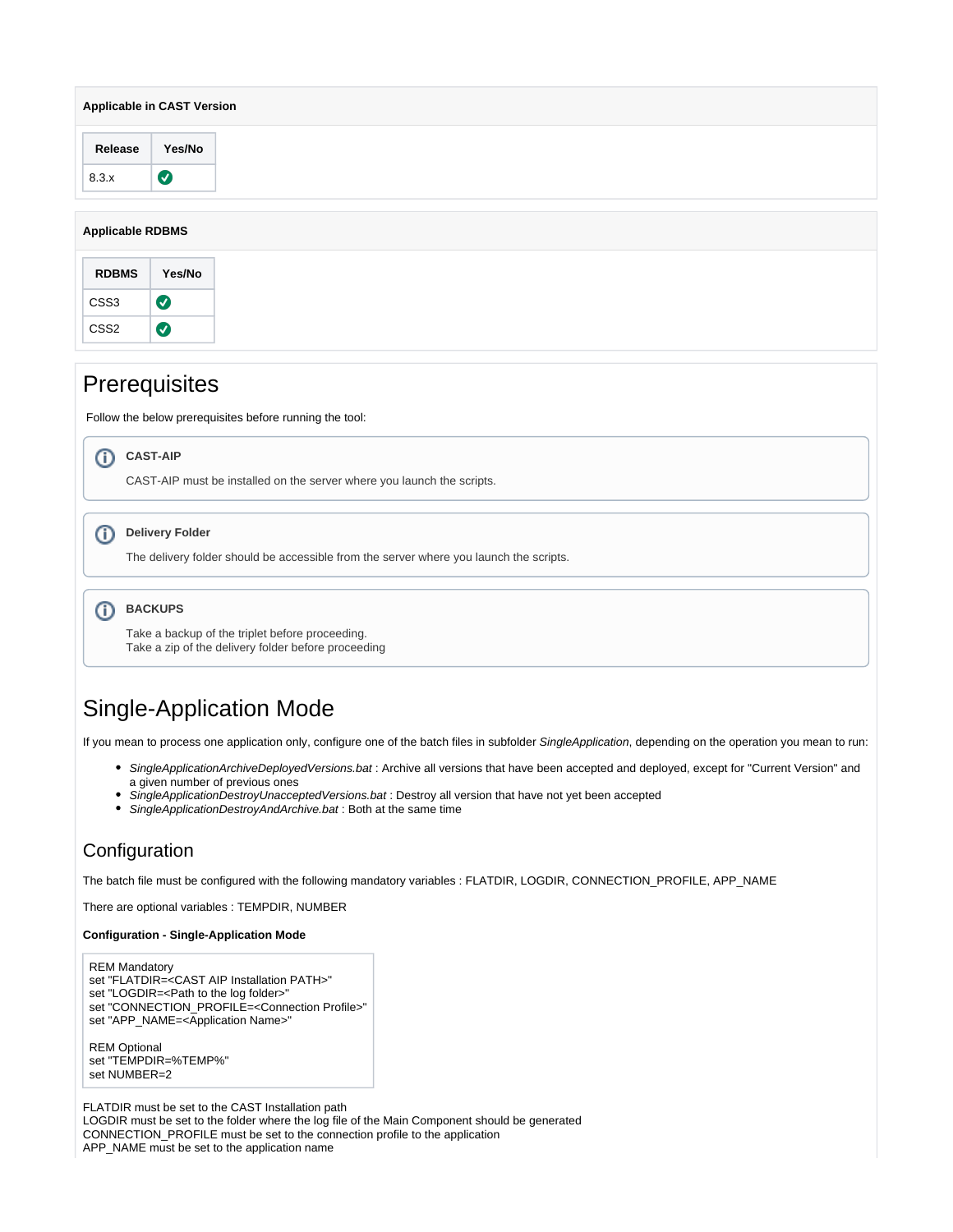| <b>Applicable in CAST Version</b> |           |  |  |  |  |  |  |
|-----------------------------------|-----------|--|--|--|--|--|--|
| Release                           | Yes/No    |  |  |  |  |  |  |
| 8.3.x                             | $\bullet$ |  |  |  |  |  |  |
| <b>Applicable RDBMS</b>           |           |  |  |  |  |  |  |
|                                   |           |  |  |  |  |  |  |

| <b>RDBMS</b>     | Yes/No |
|------------------|--------|
| CSS3             | ✓      |
| CSS <sub>2</sub> |        |
|                  |        |

# **Prerequisites**

Follow the below prerequisites before running the tool:

 $\circ$ 

CAST-AIP must be installed on the server where you launch the scripts.

#### **Delivery Folder**

The delivery folder should be accessible from the server where you launch the scripts.

**b**BACKUPS

Take a backup of the triplet before proceeding. Take a zip of the delivery folder before proceeding

# Single-Application Mode

If you mean to process one application only, configure one of the batch files in subfolder SingleApplication, depending on the operation you mean to run:

- SingleApplicationArchiveDeployedVersions.bat : Archive all versions that have been accepted and deployed, except for "Current Version" and a given number of previous ones
- SingleApplicationDestroyUnacceptedVersions.bat : Destroy all version that have not yet been accepted
- SingleApplicationDestroyAndArchive.bat : Both at the same time

## **Configuration**

The batch file must be configured with the following mandatory variables : FLATDIR, LOGDIR, CONNECTION\_PROFILE, APP\_NAME

There are optional variables : TEMPDIR, NUMBER

#### **Configuration - Single-Application Mode**

REM Mandatory set "FLATDIR=<CAST AIP Installation PATH>" set "LOGDIR=<Path to the log folder> set "CONNECTION\_PROFILE=<Connection Profile>" set "APP\_NAME=<Application Name>"

REM Optional set "TEMPDIR=%TEMP%" set NUMBER=2

FLATDIR must be set to the CAST Installation path LOGDIR must be set to the folder where the log file of the Main Component should be generated CONNECTION\_PROFILE must be set to the connection profile to the application APP\_NAME must be set to the application name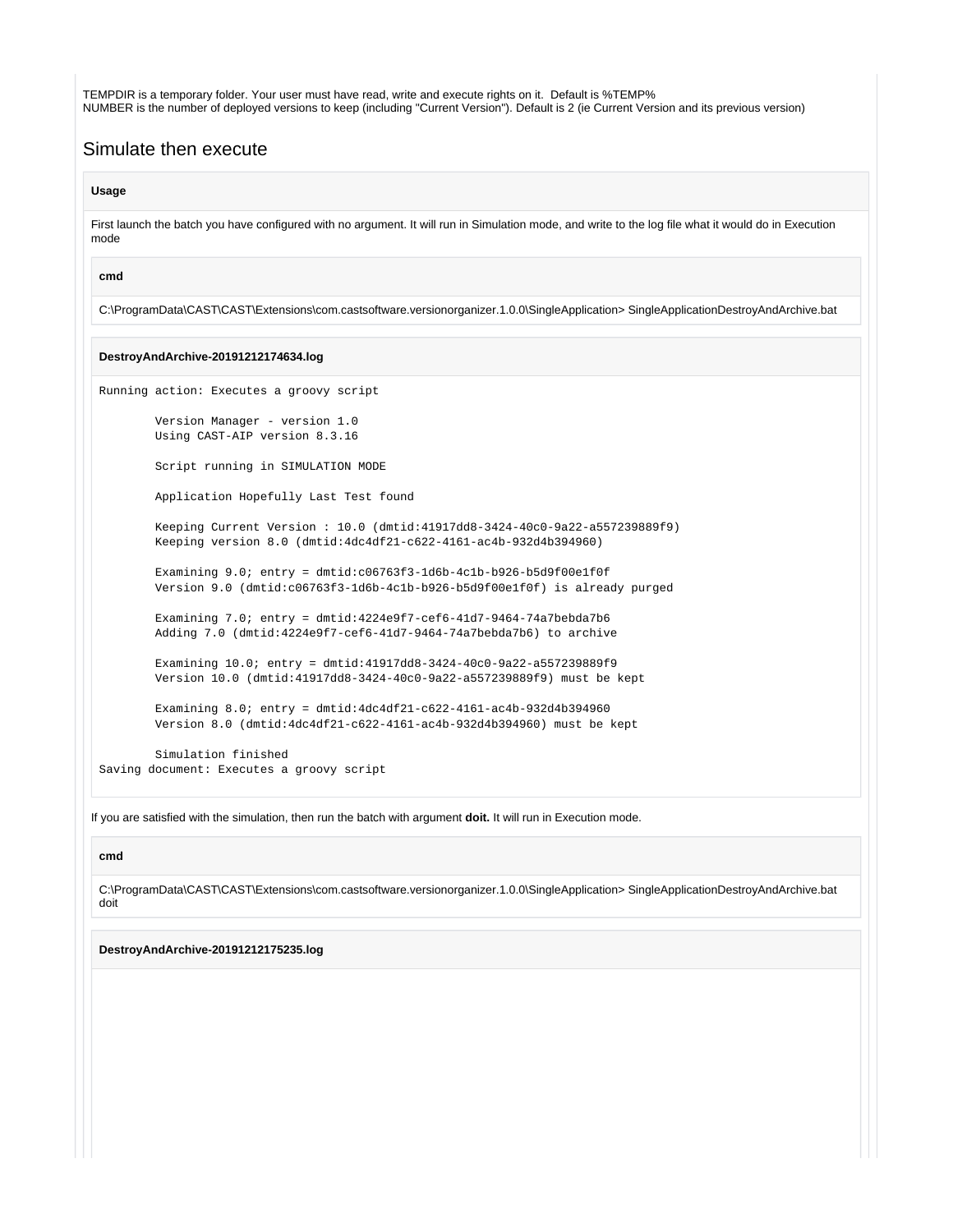TEMPDIR is a temporary folder. Your user must have read, write and execute rights on it. Default is %TEMP% NUMBER is the number of deployed versions to keep (including "Current Version"). Default is 2 (ie Current Version and its previous version)

### Simulate then execute

#### **Usage**

First launch the batch you have configured with no argument. It will run in Simulation mode, and write to the log file what it would do in Execution mode

#### **cmd**

C:\ProgramData\CAST\CAST\Extensions\com.castsoftware.versionorganizer.1.0.0\SingleApplication> SingleApplicationDestroyAndArchive.bat

#### **DestroyAndArchive-20191212174634.log**

Running action: Executes a groovy script

 Version Manager - version 1.0 Using CAST-AIP version 8.3.16

Script running in SIMULATION MODE

Application Hopefully Last Test found

 Keeping Current Version : 10.0 (dmtid:41917dd8-3424-40c0-9a22-a557239889f9) Keeping version 8.0 (dmtid:4dc4df21-c622-4161-ac4b-932d4b394960)

 Examining 9.0; entry = dmtid:c06763f3-1d6b-4c1b-b926-b5d9f00e1f0f Version 9.0 (dmtid:c06763f3-1d6b-4c1b-b926-b5d9f00e1f0f) is already purged

 Examining 7.0; entry = dmtid:4224e9f7-cef6-41d7-9464-74a7bebda7b6 Adding 7.0 (dmtid:4224e9f7-cef6-41d7-9464-74a7bebda7b6) to archive

 Examining 10.0; entry = dmtid:41917dd8-3424-40c0-9a22-a557239889f9 Version 10.0 (dmtid:41917dd8-3424-40c0-9a22-a557239889f9) must be kept

 Examining 8.0; entry = dmtid:4dc4df21-c622-4161-ac4b-932d4b394960 Version 8.0 (dmtid:4dc4df21-c622-4161-ac4b-932d4b394960) must be kept

 Simulation finished Saving document: Executes a groovy script

If you are satisfied with the simulation, then run the batch with argument **doit.** It will run in Execution mode.

#### **cmd**

C:\ProgramData\CAST\CAST\Extensions\com.castsoftware.versionorganizer.1.0.0\SingleApplication> SingleApplicationDestroyAndArchive.bat doit

**DestroyAndArchive-20191212175235.log**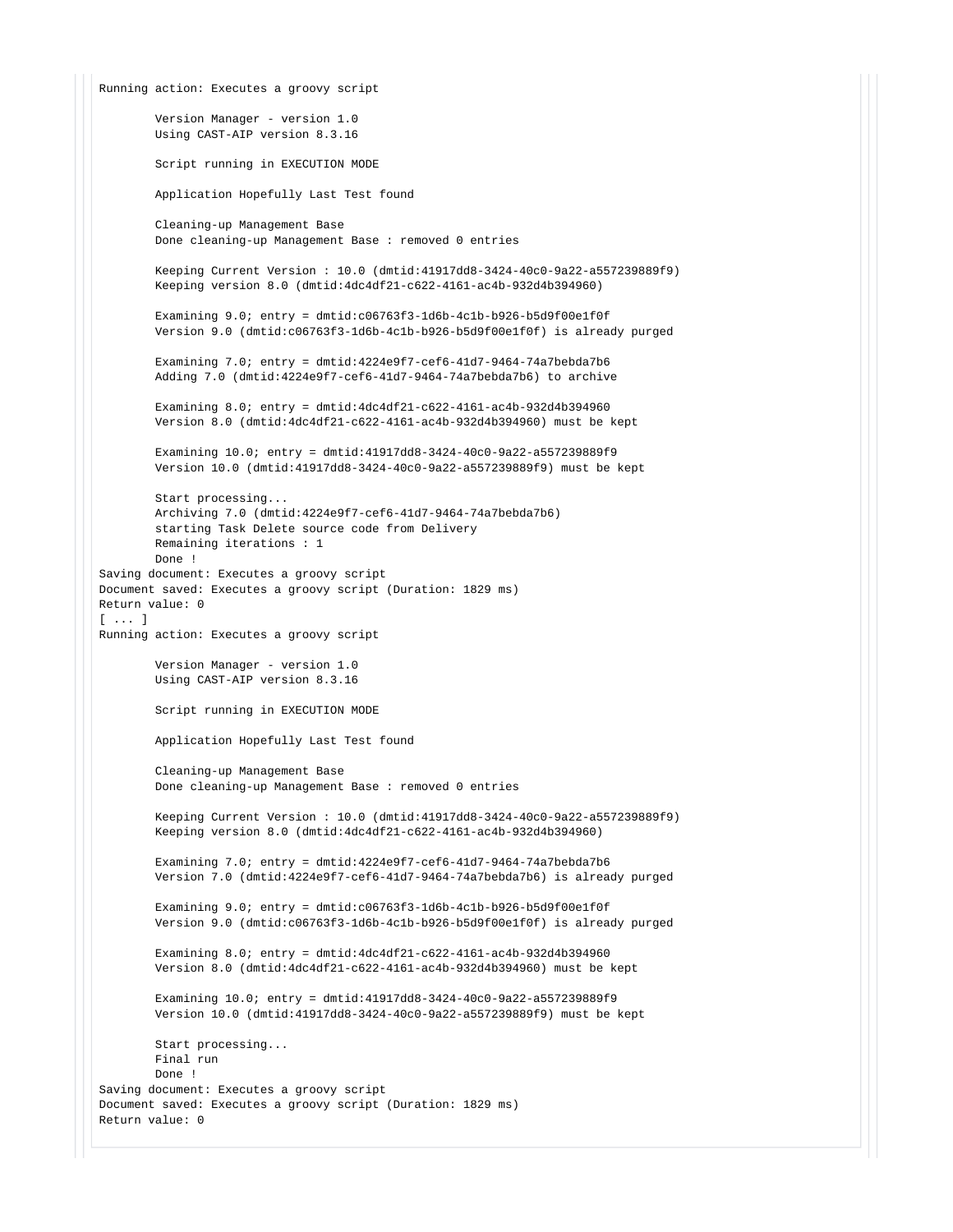```
Running action: Executes a groovy script
         Version Manager - version 1.0
         Using CAST-AIP version 8.3.16
         Script running in EXECUTION MODE
         Application Hopefully Last Test found
         Cleaning-up Management Base
         Done cleaning-up Management Base : removed 0 entries
         Keeping Current Version : 10.0 (dmtid:41917dd8-3424-40c0-9a22-a557239889f9)
         Keeping version 8.0 (dmtid:4dc4df21-c622-4161-ac4b-932d4b394960)
        Examining 9.0; entry = dmtid:c06763f3-1d6b-4c1b-b926-b5d9f00e1f0f
         Version 9.0 (dmtid:c06763f3-1d6b-4c1b-b926-b5d9f00e1f0f) is already purged
         Examining 7.0; entry = dmtid:4224e9f7-cef6-41d7-9464-74a7bebda7b6
         Adding 7.0 (dmtid:4224e9f7-cef6-41d7-9464-74a7bebda7b6) to archive
         Examining 8.0; entry = dmtid:4dc4df21-c622-4161-ac4b-932d4b394960
         Version 8.0 (dmtid:4dc4df21-c622-4161-ac4b-932d4b394960) must be kept
         Examining 10.0; entry = dmtid:41917dd8-3424-40c0-9a22-a557239889f9
         Version 10.0 (dmtid:41917dd8-3424-40c0-9a22-a557239889f9) must be kept
         Start processing...
         Archiving 7.0 (dmtid:4224e9f7-cef6-41d7-9464-74a7bebda7b6)
         starting Task Delete source code from Delivery
         Remaining iterations : 1
         Done !
Saving document: Executes a groovy script
Document saved: Executes a groovy script (Duration: 1829 ms)
Return value: 0
[ ... ]
Running action: Executes a groovy script
         Version Manager - version 1.0
         Using CAST-AIP version 8.3.16
         Script running in EXECUTION MODE
         Application Hopefully Last Test found
         Cleaning-up Management Base
         Done cleaning-up Management Base : removed 0 entries
         Keeping Current Version : 10.0 (dmtid:41917dd8-3424-40c0-9a22-a557239889f9)
         Keeping version 8.0 (dmtid:4dc4df21-c622-4161-ac4b-932d4b394960)
         Examining 7.0; entry = dmtid:4224e9f7-cef6-41d7-9464-74a7bebda7b6
         Version 7.0 (dmtid:4224e9f7-cef6-41d7-9464-74a7bebda7b6) is already purged
        Examining 9.0; entry = dmtid:c06763f3-1d6b-4c1b-b926-b5d9f00e1f0f
         Version 9.0 (dmtid:c06763f3-1d6b-4c1b-b926-b5d9f00e1f0f) is already purged
         Examining 8.0; entry = dmtid:4dc4df21-c622-4161-ac4b-932d4b394960
         Version 8.0 (dmtid:4dc4df21-c622-4161-ac4b-932d4b394960) must be kept
         Examining 10.0; entry = dmtid:41917dd8-3424-40c0-9a22-a557239889f9
         Version 10.0 (dmtid:41917dd8-3424-40c0-9a22-a557239889f9) must be kept
         Start processing...
         Final run
         Done !
Saving document: Executes a groovy script
Document saved: Executes a groovy script (Duration: 1829 ms)
Return value: 0
```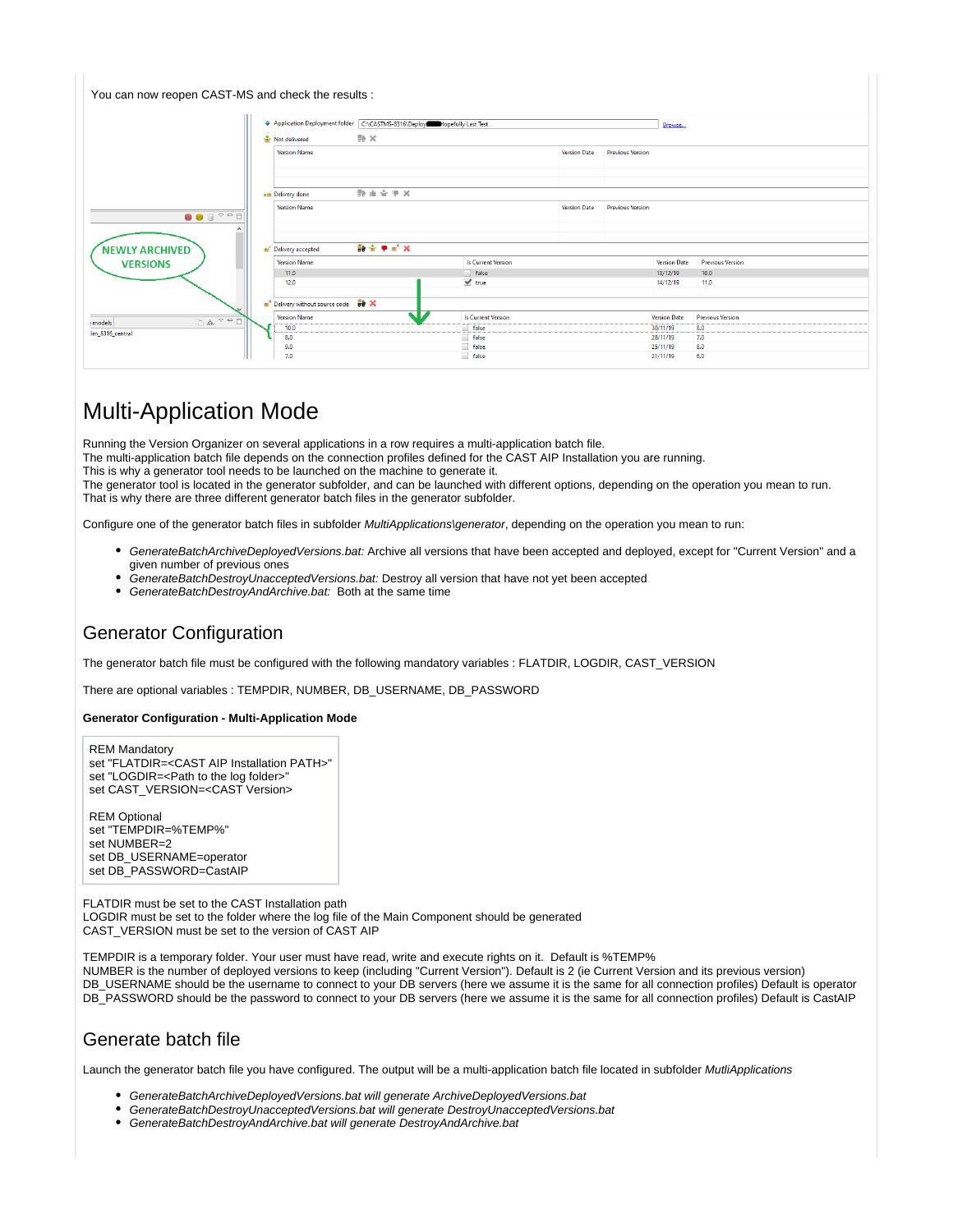| You can now reopen CAST-MS and check the results :           |                                        |                                                                          |                           |                     |                         |                     |                         |
|--------------------------------------------------------------|----------------------------------------|--------------------------------------------------------------------------|---------------------------|---------------------|-------------------------|---------------------|-------------------------|
|                                                              |                                        | Application Deployment folder C:\CASTMS-8316\Deployi Hopefully Last Test |                           |                     | Browse                  |                     |                         |
|                                                              | Not delivered<br><b>Version Name</b>   | $\Rightarrow$ $\times$                                                   |                           | <b>Version Date</b> | <b>Previous Version</b> |                     |                         |
|                                                              |                                        |                                                                          |                           |                     |                         |                     |                         |
| $\begin{array}{c} \bullet \\ \bullet \\ \bullet \end{array}$ | . Delivery done<br><b>Version Name</b> | 数面查里X                                                                    | <b>Version Date</b>       |                     | <b>Previous Version</b> |                     |                         |
| <b>NEWLY ARCHIVED</b>                                        | Delivery accepted                      | 数金甲醛叉                                                                    |                           |                     |                         |                     |                         |
| <b>VERSIONS</b>                                              | <b>Version Name</b>                    |                                                                          | <b>Is Current Version</b> |                     |                         | <b>Version Date</b> | <b>Previous Version</b> |
|                                                              | 11.0                                   |                                                                          | d false                   |                     |                         | 13/12/19            | 10.0                    |
|                                                              | 12.0                                   |                                                                          | $\blacktriangledown$ true |                     |                         | 14/12/19            | 11.0                    |
|                                                              | Delivery without source code 58 X      |                                                                          |                           |                     |                         |                     |                         |
| $\Box \mathbb{A} \rightarrow \Box$                           | <b>Version Name</b>                    |                                                                          | <b>Is Current Version</b> |                     |                         | <b>Version Date</b> | <b>Previous Version</b> |
| : models                                                     | 10.0                                   |                                                                          | false                     |                     |                         | 30/11/19            | 8.0                     |
| im_8316_central                                              | 8.0                                    |                                                                          | $\Box$ false              |                     |                         | 28/11/19            | 7.0                     |
|                                                              | 9.0                                    |                                                                          | $\Box$ false              |                     |                         | 25/11/19            | 8.0                     |
|                                                              | 7.0                                    |                                                                          | <sup>1</sup> false        |                     |                         | 21/11/19            | 6.0                     |

# Multi-Application Mode

Running the Version Organizer on several applications in a row requires a multi-application batch file.

The multi-application batch file depends on the connection profiles defined for the CAST AIP Installation you are running.

This is why a generator tool needs to be launched on the machine to generate it.

The generator tool is located in the generator subfolder, and can be launched with different options, depending on the operation you mean to run. That is why there are three different generator batch files in the generator subfolder.

Configure one of the generator batch files in subfolder *MultiApplications\generator*, depending on the operation you mean to run:

- GenerateBatchArchiveDeployedVersions.bat: Archive all versions that have been accepted and deployed, except for "Current Version" and a given number of previous ones
- GenerateBatchDestroyUnacceptedVersions.bat: Destroy all version that have not yet been accepted
- GenerateBatchDestroyAndArchive.bat: Both at the same time

### Generator Configuration

The generator batch file must be configured with the following mandatory variables : FLATDIR, LOGDIR, CAST\_VERSION

There are optional variables : TEMPDIR, NUMBER, DB\_USERNAME, DB\_PASSWORD

#### **Generator Configuration - Multi-Application Mode**

REM Mandatory set "FLATDIR=<CAST AIP Installation PATH>" set "LOGDIR=<Path to the log folder>" set CAST\_VERSION=<CAST Version>

REM Optional set "TEMPDIR=%TEMP%" set NUMBER=2 set DB\_USERNAME=operator set DB\_PASSWORD=CastAIP

FLATDIR must be set to the CAST Installation path LOGDIR must be set to the folder where the log file of the Main Component should be generated CAST\_VERSION must be set to the version of CAST AIP

TEMPDIR is a temporary folder. Your user must have read, write and execute rights on it. Default is %TEMP% NUMBER is the number of deployed versions to keep (including "Current Version"). Default is 2 (ie Current Version and its previous version) DB\_USERNAME should be the username to connect to your DB servers (here we assume it is the same for all connection profiles) Default is operator DB\_PASSWORD should be the password to connect to your DB servers (here we assume it is the same for all connection profiles) Default is CastAIP

### Generate batch file

Launch the generator batch file you have configured. The output will be a multi-application batch file located in subfolder MutliApplications

- GenerateBatchArchiveDeployedVersions.bat will generate ArchiveDeployedVersions.bat
- GenerateBatchDestroyUnacceptedVersions.bat will generate DestroyUnacceptedVersions.bat
- GenerateBatchDestroyAndArchive.bat will generate DestroyAndArchive.bat